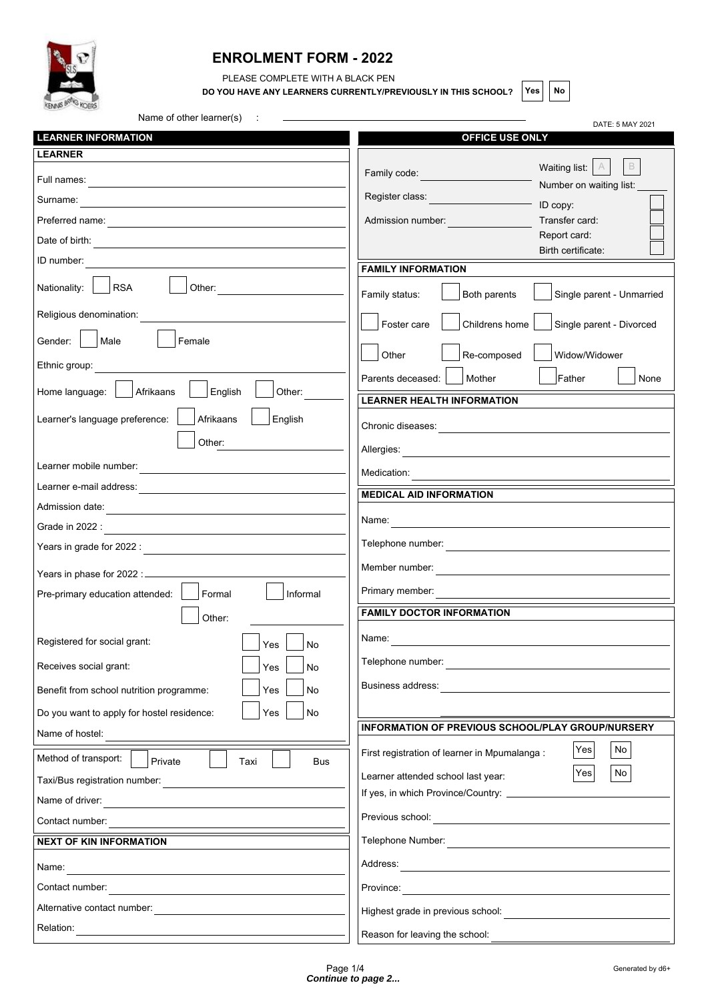

## **ENROLMENT FORM - 2022**

PLEASE COMPLETE WITH A BLACK PEN

**DO YOU HAVE ANY LEARNERS CURRENTLY/PREVIOUSLY IN THIS SCHOOL?** Yes No

| Name of other learner(s)                                                                                                           | DATE: 5 MAY 2021                                                                                   |  |
|------------------------------------------------------------------------------------------------------------------------------------|----------------------------------------------------------------------------------------------------|--|
| <b>LEARNER INFORMATION</b>                                                                                                         | <b>OFFICE USE ONLY</b>                                                                             |  |
| <b>LEARNER</b><br>Full names:<br><u> 1980 - Andrea Andrew Maria (h. 1980).</u>                                                     | $\,$ B<br>Waiting list:<br>A<br>Family code:<br>Number on waiting list:                            |  |
| Surname:<br><u> 1989 - Johann Barn, amerikansk politiker (d. 1989)</u>                                                             | Register class:<br>ID copy:                                                                        |  |
| Preferred name:                                                                                                                    | Admission number:<br>Transfer card:                                                                |  |
|                                                                                                                                    | Report card:                                                                                       |  |
| ID number:                                                                                                                         | Birth certificate:<br><b>FAMILY INFORMATION</b>                                                    |  |
| Nationality:<br>RSA<br>Other:                                                                                                      | Family status:<br>Both parents<br>Single parent - Unmarried                                        |  |
| Religious denomination:                                                                                                            | Foster care<br>Childrens home<br>Single parent - Divorced                                          |  |
| Male<br>Female<br>Gender:                                                                                                          | Other<br>Re-composed<br>Widow/Widower                                                              |  |
| Ethnic group:                                                                                                                      | Father<br>Parents deceased:<br>Mother<br>None                                                      |  |
| Home language:<br>Afrikaans<br>English<br>Other:                                                                                   | <b>LEARNER HEALTH INFORMATION</b>                                                                  |  |
| Afrikaans<br>English<br>Learner's language preference:                                                                             | Chronic diseases:                                                                                  |  |
| Other:                                                                                                                             | Allergies:                                                                                         |  |
| Learner mobile number:                                                                                                             | Medication:                                                                                        |  |
| Learner e-mail address:                                                                                                            | <b>MEDICAL AID INFORMATION</b>                                                                     |  |
| Admission date:                                                                                                                    |                                                                                                    |  |
| Grade in 2022 :                                                                                                                    | Name:                                                                                              |  |
| Years in grade for 2022 :                                                                                                          |                                                                                                    |  |
| Years in phase for 2022 : ______                                                                                                   | Member number:<br><u> 1980 - Andrea Station Barbara, amerikan personal (h. 1980).</u>              |  |
| Formal<br>Informal<br>Pre-primary education attended:                                                                              | Primary member:<br><u> 1989 - Johann Stein, fransk politiker (</u>                                 |  |
| Other:                                                                                                                             | <b>FAMILY DOCTOR INFORMATION</b>                                                                   |  |
| Registered for social grant:<br>No<br>Yes                                                                                          | Name:                                                                                              |  |
| Receives social grant:<br>No<br>Yes                                                                                                | Telephone number:                                                                                  |  |
| Benefit from school nutrition programme:<br>Yes<br>No                                                                              | Business address:                                                                                  |  |
| Do you want to apply for hostel residence:<br>No<br>Yes                                                                            |                                                                                                    |  |
| Name of hostel:                                                                                                                    | INFORMATION OF PREVIOUS SCHOOL/PLAY GROUP/NURSERY                                                  |  |
| Method of transport:<br>Private<br>Taxi<br><b>Bus</b>                                                                              | No<br>Yes<br>First registration of learner in Mpumalanga :                                         |  |
| Taxi/Bus registration number:                                                                                                      | No<br>Yes<br>Learner attended school last year:<br>If yes, in which Province/Country: ____________ |  |
| Name of driver:                                                                                                                    |                                                                                                    |  |
| Contact number:                                                                                                                    | Previous school:                                                                                   |  |
| <b>NEXT OF KIN INFORMATION</b>                                                                                                     | Telephone Number:                                                                                  |  |
| Name:<br>the control of the control of the control of the control of the control of the control of                                 | Address:                                                                                           |  |
| Contact number:                                                                                                                    | Province:<br><u> 1980 - Jan Stein, amerikansk politiker (</u>                                      |  |
| Alternative contact number:                                                                                                        | Highest grade in previous school:                                                                  |  |
| Relation:<br><u> 1980 - Johann Harry Barn, mars ar breithinn ar breithinn ar breithinn ar breithinn ar breithinn ar breithinn </u> | Reason for leaving the school:                                                                     |  |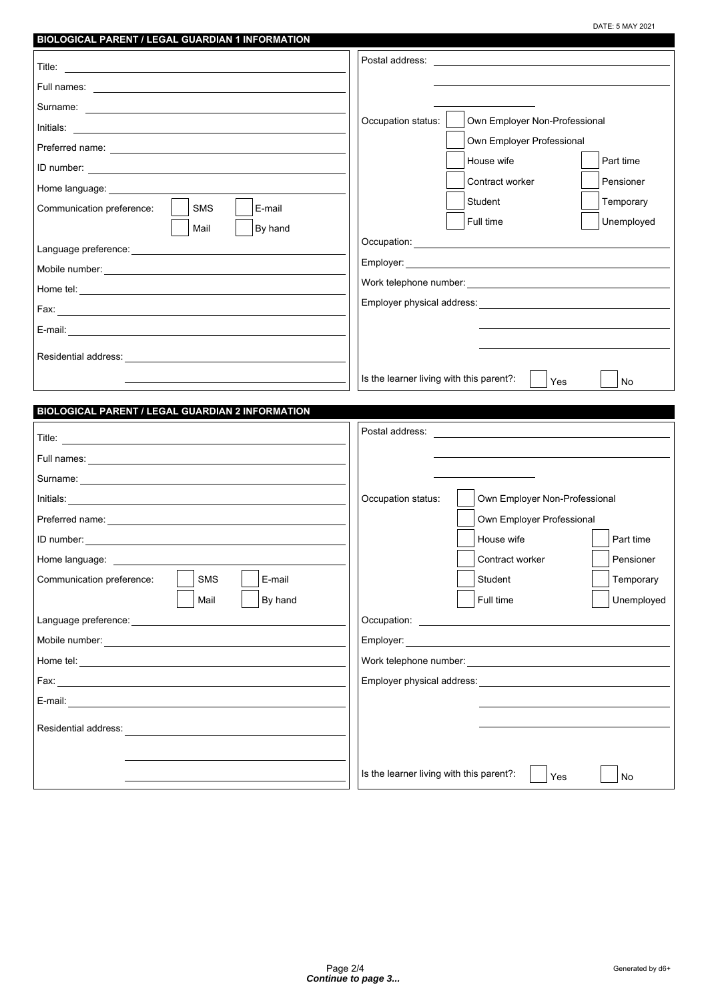DATE: 5 MAY 2021

| BIOLOGICAL PARENT / LEGAL GUARDIAN 1 INFORMATION                                                                                                                                                                                    |                                                                                                                                                                                                                                |  |  |
|-------------------------------------------------------------------------------------------------------------------------------------------------------------------------------------------------------------------------------------|--------------------------------------------------------------------------------------------------------------------------------------------------------------------------------------------------------------------------------|--|--|
|                                                                                                                                                                                                                                     | Postal address: Note that the set of the set of the set of the set of the set of the set of the set of the set of the set of the set of the set of the set of the set of the set of the set of the set of the set of the set o |  |  |
|                                                                                                                                                                                                                                     |                                                                                                                                                                                                                                |  |  |
|                                                                                                                                                                                                                                     |                                                                                                                                                                                                                                |  |  |
|                                                                                                                                                                                                                                     | Occupation status:<br>Own Employer Non-Professional                                                                                                                                                                            |  |  |
|                                                                                                                                                                                                                                     | Own Employer Professional                                                                                                                                                                                                      |  |  |
|                                                                                                                                                                                                                                     | House wife<br>Part time                                                                                                                                                                                                        |  |  |
| Home language: ________________                                                                                                                                                                                                     | Contract worker<br>Pensioner                                                                                                                                                                                                   |  |  |
| SMS<br>Communication preference:<br>E-mail                                                                                                                                                                                          | Temporary<br>Student                                                                                                                                                                                                           |  |  |
| Mail<br>By hand                                                                                                                                                                                                                     | Full time<br>Unemployed                                                                                                                                                                                                        |  |  |
|                                                                                                                                                                                                                                     |                                                                                                                                                                                                                                |  |  |
|                                                                                                                                                                                                                                     |                                                                                                                                                                                                                                |  |  |
|                                                                                                                                                                                                                                     |                                                                                                                                                                                                                                |  |  |
|                                                                                                                                                                                                                                     |                                                                                                                                                                                                                                |  |  |
|                                                                                                                                                                                                                                     |                                                                                                                                                                                                                                |  |  |
|                                                                                                                                                                                                                                     |                                                                                                                                                                                                                                |  |  |
|                                                                                                                                                                                                                                     |                                                                                                                                                                                                                                |  |  |
| Is the learner living with this parent?:<br><b>No</b><br>Yes                                                                                                                                                                        |                                                                                                                                                                                                                                |  |  |
|                                                                                                                                                                                                                                     |                                                                                                                                                                                                                                |  |  |
|                                                                                                                                                                                                                                     |                                                                                                                                                                                                                                |  |  |
| BIOLOGICAL PARENT / LEGAL GUARDIAN 2 INFORMATION                                                                                                                                                                                    |                                                                                                                                                                                                                                |  |  |
|                                                                                                                                                                                                                                     |                                                                                                                                                                                                                                |  |  |
| Full names: <u>experience</u> and the contract of the contract of the contract of the contract of the contract of the contract of the contract of the contract of the contract of the contract of the contract of the contract of t |                                                                                                                                                                                                                                |  |  |
|                                                                                                                                                                                                                                     |                                                                                                                                                                                                                                |  |  |
| Initials: <u>Communications</u> of the contract of the contract of the contract of the contract of the contract of the contract of the contract of the contract of the contract of the contract of the contract of the contract of  | Own Employer Non-Professional<br>Occupation status:                                                                                                                                                                            |  |  |
|                                                                                                                                                                                                                                     | Own Employer Professional                                                                                                                                                                                                      |  |  |
|                                                                                                                                                                                                                                     | House wife<br>Part time                                                                                                                                                                                                        |  |  |
| Home language: ____________                                                                                                                                                                                                         | Pensioner<br>Contract worker                                                                                                                                                                                                   |  |  |
| Communication preference:<br><b>SMS</b><br>E-mail                                                                                                                                                                                   | Temporary<br>Student                                                                                                                                                                                                           |  |  |
| Mail<br>By hand                                                                                                                                                                                                                     | Full time<br>Unemployed                                                                                                                                                                                                        |  |  |
|                                                                                                                                                                                                                                     |                                                                                                                                                                                                                                |  |  |
|                                                                                                                                                                                                                                     |                                                                                                                                                                                                                                |  |  |
|                                                                                                                                                                                                                                     |                                                                                                                                                                                                                                |  |  |
|                                                                                                                                                                                                                                     |                                                                                                                                                                                                                                |  |  |
| E-mail: E-mail: All and the second state of the second state of the second state of the second state of the second state of the second state of the second state of the second state of the second state of the second state o      |                                                                                                                                                                                                                                |  |  |
| Residential address:                                                                                                                                                                                                                |                                                                                                                                                                                                                                |  |  |
|                                                                                                                                                                                                                                     |                                                                                                                                                                                                                                |  |  |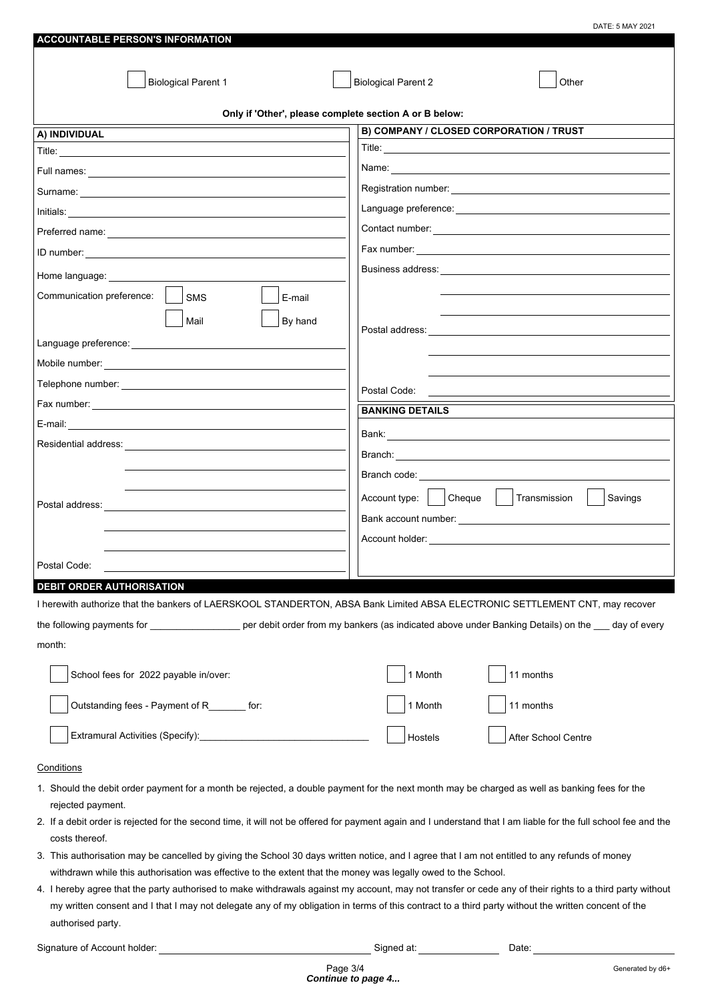| <b>ACCOUNTABLE PERSON'S INFORMATION</b>                                                                                                                                  | DATE: 5 MAY 2021                                   |  |  |  |  |
|--------------------------------------------------------------------------------------------------------------------------------------------------------------------------|----------------------------------------------------|--|--|--|--|
|                                                                                                                                                                          |                                                    |  |  |  |  |
|                                                                                                                                                                          |                                                    |  |  |  |  |
| <b>Biological Parent 1</b>                                                                                                                                               | <b>Biological Parent 2</b><br>Other                |  |  |  |  |
| Only if 'Other', please complete section A or B below:                                                                                                                   |                                                    |  |  |  |  |
| A) INDIVIDUAL                                                                                                                                                            | B) COMPANY / CLOSED CORPORATION / TRUST            |  |  |  |  |
|                                                                                                                                                                          |                                                    |  |  |  |  |
|                                                                                                                                                                          |                                                    |  |  |  |  |
|                                                                                                                                                                          |                                                    |  |  |  |  |
|                                                                                                                                                                          |                                                    |  |  |  |  |
|                                                                                                                                                                          |                                                    |  |  |  |  |
|                                                                                                                                                                          |                                                    |  |  |  |  |
|                                                                                                                                                                          |                                                    |  |  |  |  |
| Home language:<br>Communication preference:                                                                                                                              |                                                    |  |  |  |  |
| SMS<br>E-mail                                                                                                                                                            |                                                    |  |  |  |  |
| Mail<br>By hand                                                                                                                                                          |                                                    |  |  |  |  |
|                                                                                                                                                                          |                                                    |  |  |  |  |
|                                                                                                                                                                          |                                                    |  |  |  |  |
|                                                                                                                                                                          | Postal Code:                                       |  |  |  |  |
|                                                                                                                                                                          | <b>BANKING DETAILS</b>                             |  |  |  |  |
|                                                                                                                                                                          |                                                    |  |  |  |  |
|                                                                                                                                                                          |                                                    |  |  |  |  |
|                                                                                                                                                                          |                                                    |  |  |  |  |
|                                                                                                                                                                          | Branch code: _____________________                 |  |  |  |  |
|                                                                                                                                                                          | Cheque<br>Account type:<br>Transmission<br>Savings |  |  |  |  |
|                                                                                                                                                                          |                                                    |  |  |  |  |
|                                                                                                                                                                          |                                                    |  |  |  |  |
| Postal Code:                                                                                                                                                             |                                                    |  |  |  |  |
| <b>DEBIT ORDER AUTHORISATION</b>                                                                                                                                         |                                                    |  |  |  |  |
| I herewith authorize that the bankers of LAERSKOOL STANDERTON, ABSA Bank Limited ABSA ELECTRONIC SETTLEMENT CNT, may recover                                             |                                                    |  |  |  |  |
| the following payments for ______________________ per debit order from my bankers (as indicated above under Banking Details) on the ___ day of every                     |                                                    |  |  |  |  |
| month:                                                                                                                                                                   |                                                    |  |  |  |  |
|                                                                                                                                                                          |                                                    |  |  |  |  |
| School fees for 2022 payable in/over:                                                                                                                                    | 1 Month<br>11 months                               |  |  |  |  |
| Outstanding fees - Payment of R_______ for:                                                                                                                              | 11 months<br>1 Month                               |  |  |  |  |
|                                                                                                                                                                          | Hostels<br>After School Centre                     |  |  |  |  |
| Conditions                                                                                                                                                               |                                                    |  |  |  |  |
| 1. Should the debit order payment for a month be rejected, a double payment for the next month may be charged as well as banking fees for the                            |                                                    |  |  |  |  |
| rejected payment.                                                                                                                                                        |                                                    |  |  |  |  |
| 2. If a debit order is rejected for the second time, it will not be offered for payment again and I understand that I am liable for the full school fee and the          |                                                    |  |  |  |  |
| costs thereof.<br>3. This authorisation may be cancelled by giving the School 30 days written notice, and I agree that I am not entitled to any refunds of money         |                                                    |  |  |  |  |
| withdrawn while this authorisation was effective to the extent that the money was legally owed to the School.                                                            |                                                    |  |  |  |  |
| 4. I hereby agree that the party authorised to make withdrawals against my account, may not transfer or cede any of their rights to a third party without                |                                                    |  |  |  |  |
| my written consent and I that I may not delegate any of my obligation in terms of this contract to a third party without the written concent of the<br>authorised party. |                                                    |  |  |  |  |
| Signature of Account holder:                                                                                                                                             | Signed at:<br>Date:                                |  |  |  |  |